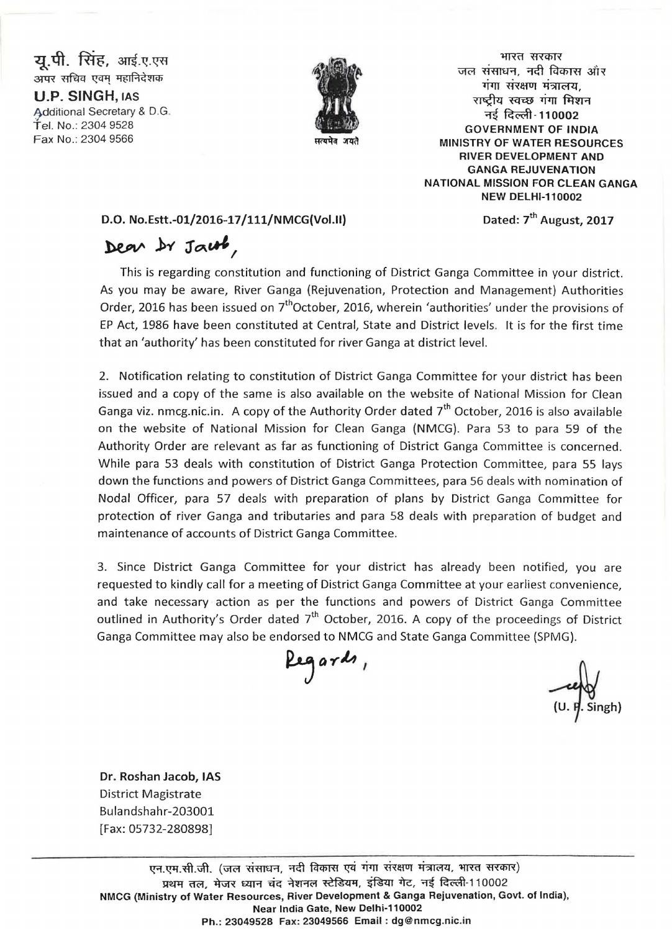यू.पी. सिंह, आई.ए.एस अपर सचिव एवम महानिदेशक

U.P. SINGH, lAS Additional Secretary & D.G. Tel. No.: 2304 9528 Fax No.: 2304 9566



भारत सरकार जल संसाधन, नदी विकास और<br>- गंगा संरक्षण मंत्रालय. राष्टीय स्वच्छ गंगा मिशन नई दिल्ली-110002 GOVERNMENT OF INDIA MINISTRY OF WATER RESOURCES RIVER DEVELOPMENT AND GANGA REJUVENATION NATIONAL MISSION FOR CLEAN GANGA **NEW DELHI-110002** 

D.O. No.Estt.-01/2016-17/111/NMCG(VoJ.lI)

Dated: 7<sup>th</sup> August, 2017

Dear by Jaut,

This is regarding constitution and functioning of District Ganga Committee in your district. As you may be aware, River Ganga (Rejuvenation, Protection and Management) Authorities Order, 2016 has been issued on  $7<sup>th</sup>$ October, 2016, wherein 'authorities' under the provisions of EP Act, 1986 have been constituted at Central, State and District levels. It is for the first time that an 'authority' has been constituted for river Ganga at district level.

2. Notification relating to constitution of District Ganga Committee for your district has been issued and a copy of the same is also available on the website of National Mission for Clean Ganga viz. nmcg.nic.in. A copy of the Authority Order dated  $7<sup>th</sup>$  October, 2016 is also available on the website of National Mission for Clean Ganga (NMCG). Para 53 to para 59 of the Authority Order are relevant as far as functioning of District Ganga Committee is concerned. While para 53 deals with constitution of District Ganga Protection Committee, para 55 lays down the functions and powers of District Ganga Committees, para 56 deals with nomination of Nodal Officer, para 57 deals with preparation of plans by District Ganga Committee for protection of river Ganga and tributaries and para 58 deals with preparation of budget and maintenance of accounts of District Ganga Committee.

3. Since District Ganga Committee for your district has already been notified, you are requested to kindly call for a meeting of District Ganga Committee at your earliest convenience, and take necessary action as per the functions and powers of District Ganga Committee outlined in Authority's Order dated  $7<sup>th</sup>$  October, 2016. A copy of the proceedings of District Ganga Committee may also be endorsed to NMCG and State Ganga Committee (SPMG).

Regards,

 $(U. H.$  Singh)

Dr. Roshan Jacob, lAS District Magistrate Bulandshahr-203001 [Fax: 05732-280898]

एन.एम.सी.जी. (जल संसाधन, नदी विकास एवं गंगा संरक्षण मंत्रालय, भारत सरकार) प्रथम तल, मेजर ध्यान चंद नेशनल स्टेडियम, इंडिया गेट, नई दिल्ली-110002 NMCG (Ministry of Water Resources, River Development & Ganga Rejuvenation, Govt. of India), Near India Gate, New Delhi-110002 Ph.: 23049528 Fax: 23049566 Email : dg@nmcg.nic.in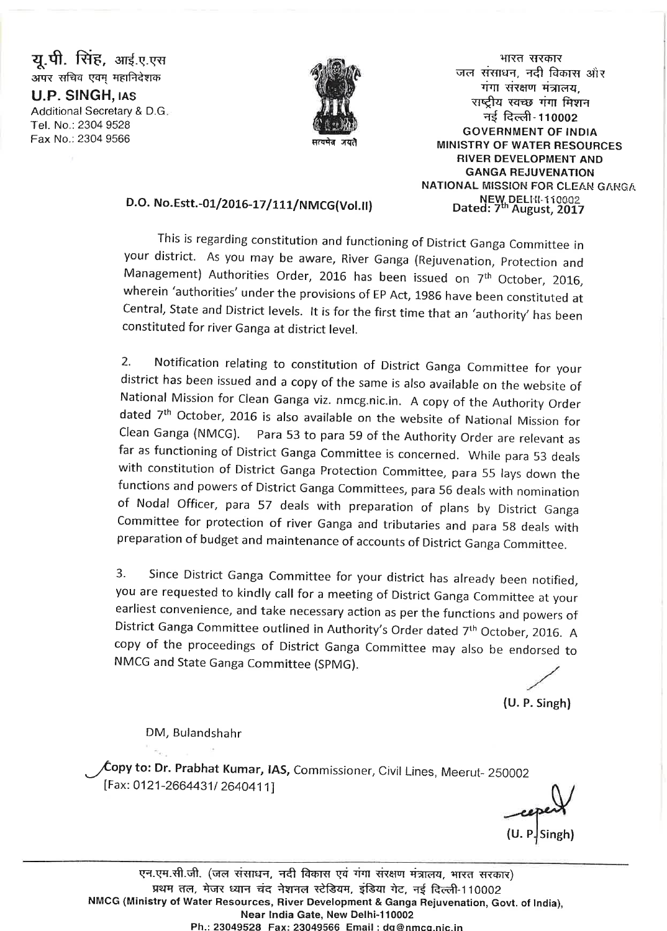यू.पी. सिंह, आई.ए.एस अपर सचिव एवम महानिदेशक

**U.P. SINGH. IAS** Additional Secretary & D.G. Tel. No.: 2304 9528 Fax No.: 2304 9566



भारत सरकार जल संसाधन, नदी विकास और गंगा संरक्षण मंत्रालय राष्टीय स्वच्छ गंगा मिशन नई दिल्ली-110002 **GOVERNMENT OF INDIA MINISTRY OF WATER RESOURCES RIVER DEVELOPMENT AND GANGA REJUVENATION NATIONAL MISSION FOR CLEAN GANGA** NEW DELHI-110002<br>Dated: 7th August, 2017

## D.O. No.Estt.-01/2016-17/111/NMCG(Vol.II)

This is regarding constitution and functioning of District Ganga Committee in your district. As you may be aware, River Ganga (Rejuvenation, Protection and Management) Authorities Order, 2016 has been issued on 7<sup>th</sup> October, 2016, wherein 'authorities' under the provisions of EP Act, 1986 have been constituted at Central, State and District levels. It is for the first time that an 'authority' has been constituted for river Ganga at district level.

Notification relating to constitution of District Ganga Committee for your  $2.$ district has been issued and a copy of the same is also available on the website of National Mission for Clean Ganga viz. nmcg.nic.in. A copy of the Authority Order dated 7<sup>th</sup> October, 2016 is also available on the website of National Mission for Clean Ganga (NMCG). Para 53 to para 59 of the Authority Order are relevant as far as functioning of District Ganga Committee is concerned. While para 53 deals with constitution of District Ganga Protection Committee, para 55 lays down the functions and powers of District Ganga Committees, para 56 deals with nomination of Nodal Officer, para 57 deals with preparation of plans by District Ganga Committee for protection of river Ganga and tributaries and para 58 deals with preparation of budget and maintenance of accounts of District Ganga Committee.

Since District Ganga Committee for your district has already been notified,  $3.$ you are requested to kindly call for a meeting of District Ganga Committee at your earliest convenience, and take necessary action as per the functions and powers of District Ganga Committee outlined in Authority's Order dated 7th October, 2016. A copy of the proceedings of District Ganga Committee may also be endorsed to NMCG and State Ganga Committee (SPMG).

 $(U. P.$  Singh)

DM, Bulandshahr

 $\mathrel{{\mathcal L}}$ opy to: Dr. Prabhat Kumar, IAS, Commissioner, Civil Lines, Meerut- 250002 [Fax: 0121-2664431/2640411]

एन.एम.सी.जी. (जल संसाधन, नदी विकास एवं गंगा संरक्षण मंत्रालय, भारत सरकार) प्रथम तल, मेजर ध्यान चंद नेशनल स्टेडियम, इंडिया गेट, नई दिल्ली-110002 NMCG (Ministry of Water Resources, River Development & Ganga Rejuvenation, Govt. of India), Near India Gate, New Delhi-110002 Ph.: 23049528 Fax: 23049566 Email: dg@nmcg.nic.in